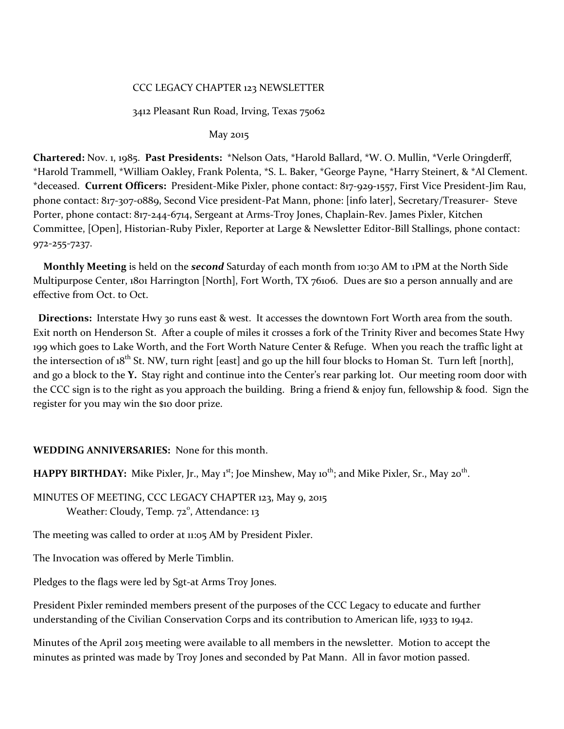### CCC LEGACY CHAPTER 123 NEWSLETTER

### 3412 Pleasant Run Road, Irving, Texas 75062

May 2015

**Chartered:** Nov. 1, 1985. **Past Presidents:** \*Nelson Oats, \*Harold Ballard, \*W. O. Mullin, \*Verle Oringderff, \*Harold Trammell, \*William Oakley, Frank Polenta, \*S. L. Baker, \*George Payne, \*Harry Steinert, & \*Al Clement. \*deceased. **Current Officers:** President-Mike Pixler, phone contact: 817-929-1557, First Vice President-Jim Rau, phone contact: 817-3o7-0889, Second Vice president-Pat Mann, phone: [info later], Secretary/Treasurer- Steve Porter, phone contact: 817-244-6714, Sergeant at Arms-Troy Jones, Chaplain-Rev. James Pixler, Kitchen Committee, [Open], Historian-Ruby Pixler, Reporter at Large & Newsletter Editor-Bill Stallings, phone contact: 972-255-7237.

 **Monthly Meeting** is held on the *second* Saturday of each month from 10:30 AM to 1PM at the North Side Multipurpose Center, 1801 Harrington [North], Fort Worth, TX 76106. Dues are \$10 a person annually and are effective from Oct. to Oct.

 **Directions:** Interstate Hwy 30 runs east & west. It accesses the downtown Fort Worth area from the south. Exit north on Henderson St. After a couple of miles it crosses a fork of the Trinity River and becomes State Hwy 199 which goes to Lake Worth, and the Fort Worth Nature Center & Refuge. When you reach the traffic light at the intersection of  $18^{th}$  St. NW, turn right [east] and go up the hill four blocks to Homan St. Turn left [north], and go a block to the **Y.** Stay right and continue into the Center's rear parking lot. Our meeting room door with the CCC sign is to the right as you approach the building. Bring a friend & enjoy fun, fellowship & food. Sign the register for you may win the \$10 door prize.

### **WEDDING ANNIVERSARIES:** None for this month.

**HAPPY BIRTHDAY:** Mike Pixler, Jr., May 1<sup>st</sup>; Joe Minshew, May 10<sup>th</sup>; and Mike Pixler, Sr., May 20<sup>th</sup>.

MINUTES OF MEETING, CCC LEGACY CHAPTER 123, May 9, 2015 Weather: Cloudy, Temp. 72<sup>°</sup>, Attendance: 13

The meeting was called to order at 11:05 AM by President Pixler.

The Invocation was offered by Merle Timblin.

Pledges to the flags were led by Sgt-at Arms Troy Jones.

President Pixler reminded members present of the purposes of the CCC Legacy to educate and further understanding of the Civilian Conservation Corps and its contribution to American life, 1933 to 1942.

Minutes of the April 2015 meeting were available to all members in the newsletter. Motion to accept the minutes as printed was made by Troy Jones and seconded by Pat Mann. All in favor motion passed.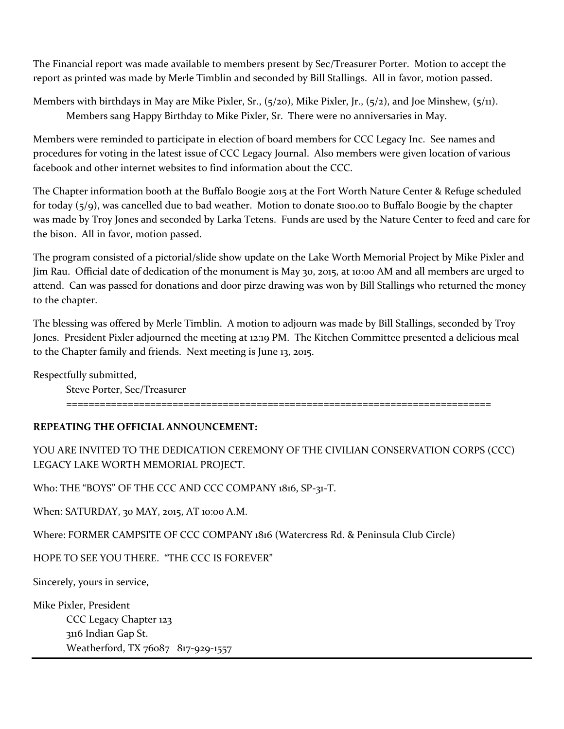The Financial report was made available to members present by Sec/Treasurer Porter. Motion to accept the report as printed was made by Merle Timblin and seconded by Bill Stallings. All in favor, motion passed.

Members with birthdays in May are Mike Pixler, Sr., (5/20), Mike Pixler, Jr., (5/2), and Joe Minshew, (5/11). Members sang Happy Birthday to Mike Pixler, Sr. There were no anniversaries in May.

Members were reminded to participate in election of board members for CCC Legacy Inc. See names and procedures for voting in the latest issue of CCC Legacy Journal. Also members were given location of various facebook and other internet websites to find information about the CCC.

The Chapter information booth at the Buffalo Boogie 2015 at the Fort Worth Nature Center & Refuge scheduled for today (5/9), was cancelled due to bad weather. Motion to donate \$100.00 to Buffalo Boogie by the chapter was made by Troy Jones and seconded by Larka Tetens. Funds are used by the Nature Center to feed and care for the bison. All in favor, motion passed.

The program consisted of a pictorial/slide show update on the Lake Worth Memorial Project by Mike Pixler and Jim Rau. Official date of dedication of the monument is May 30, 2015, at 10:00 AM and all members are urged to attend. Can was passed for donations and door pirze drawing was won by Bill Stallings who returned the money to the chapter.

The blessing was offered by Merle Timblin. A motion to adjourn was made by Bill Stallings, seconded by Troy Jones. President Pixler adjourned the meeting at 12:19 PM. The Kitchen Committee presented a delicious meal to the Chapter family and friends. Next meeting is June 13, 2015.

Respectfully submitted,

Steve Porter, Sec/Treasurer

============================================================================

## **REPEATING THE OFFICIAL ANNOUNCEMENT:**

YOU ARE INVITED TO THE DEDICATION CEREMONY OF THE CIVILIAN CONSERVATION CORPS (CCC) LEGACY LAKE WORTH MEMORIAL PROJECT.

Who: THE "BOYS" OF THE CCC AND CCC COMPANY 1816, SP-31-T.

When: SATURDAY, 30 MAY, 2015, AT 10:00 A.M.

Where: FORMER CAMPSITE OF CCC COMPANY 1816 (Watercress Rd. & Peninsula Club Circle)

HOPE TO SEE YOU THERE. "THE CCC IS FOREVER"

Sincerely, yours in service,

Mike Pixler, President CCC Legacy Chapter 123 3116 Indian Gap St. Weatherford, TX 76087 817-929-1557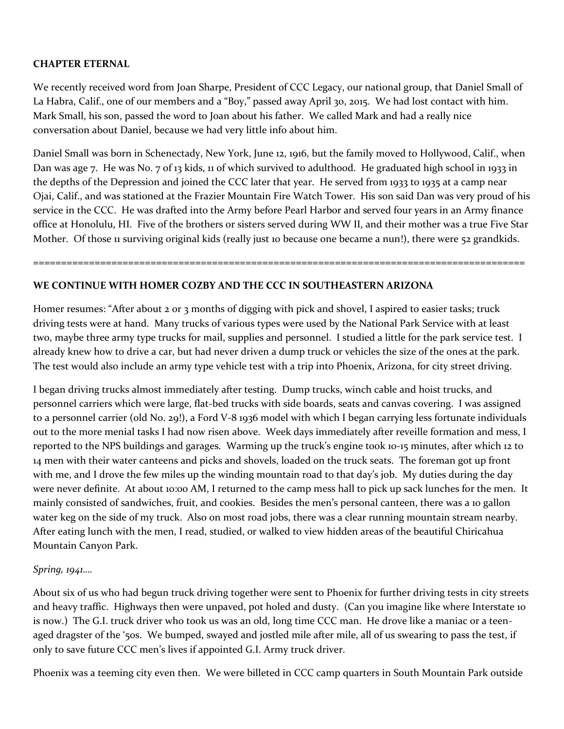## **CHAPTER ETERNAL**

We recently received word from Joan Sharpe, President of CCC Legacy, our national group, that Daniel Small of La Habra, Calif., one of our members and a "Boy," passed away April 30, 2015. We had lost contact with him. Mark Small, his son, passed the word to Joan about his father. We called Mark and had a really nice conversation about Daniel, because we had very little info about him.

Daniel Small was born in Schenectady, New York, June 12, 1916, but the family moved to Hollywood, Calif., when Dan was age 7. He was No. 7 of 13 kids, 11 of which survived to adulthood. He graduated high school in 1933 in the depths of the Depression and joined the CCC later that year. He served from 1933 to 1935 at a camp near Ojai, Calif., and was stationed at the Frazier Mountain Fire Watch Tower. His son said Dan was very proud of his service in the CCC. He was drafted into the Army before Pearl Harbor and served four years in an Army finance office at Honolulu, HI. Five of the brothers or sisters served during WW II, and their mother was a true Five Star Mother. Of those 11 surviving original kids (really just 10 because one became a nun!), there were 52 grandkids.

# **WE CONTINUE WITH HOMER COZBY AND THE CCC IN SOUTHEASTERN ARIZONA**

Homer resumes: "After about 2 or 3 months of digging with pick and shovel, I aspired to easier tasks; truck driving tests were at hand. Many trucks of various types were used by the National Park Service with at least two, maybe three army type trucks for mail, supplies and personnel. I studied a little for the park service test. I already knew how to drive a car, but had never driven a dump truck or vehicles the size of the ones at the park. The test would also include an army type vehicle test with a trip into Phoenix, Arizona, for city street driving.

========================================================================================

I began driving trucks almost immediately after testing. Dump trucks, winch cable and hoist trucks, and personnel carriers which were large, flat-bed trucks with side boards, seats and canvas covering. I was assigned to a personnel carrier (old No. 29!), a Ford V-8 1936 model with which I began carrying less fortunate individuals out to the more menial tasks I had now risen above. Week days immediately after reveille formation and mess, I reported to the NPS buildings and garages. Warming up the truck's engine took 10-15 minutes, after which 12 to 14 men with their water canteens and picks and shovels, loaded on the truck seats. The foreman got up front with me, and I drove the few miles up the winding mountain road to that day's job. My duties during the day were never definite. At about 10:00 AM, I returned to the camp mess hall to pick up sack lunches for the men. It mainly consisted of sandwiches, fruit, and cookies. Besides the men's personal canteen, there was a 10 gallon water keg on the side of my truck. Also on most road jobs, there was a clear running mountain stream nearby. After eating lunch with the men, I read, studied, or walked to view hidden areas of the beautiful Chiricahua Mountain Canyon Park.

## *Spring, 1941….*

About six of us who had begun truck driving together were sent to Phoenix for further driving tests in city streets and heavy traffic. Highways then were unpaved, pot holed and dusty. (Can you imagine like where Interstate 10 is now.) The G.I. truck driver who took us was an old, long time CCC man. He drove like a maniac or a teenaged dragster of the '50s. We bumped, swayed and jostled mile after mile, all of us swearing to pass the test, if only to save future CCC men's lives if appointed G.I. Army truck driver.

Phoenix was a teeming city even then. We were billeted in CCC camp quarters in South Mountain Park outside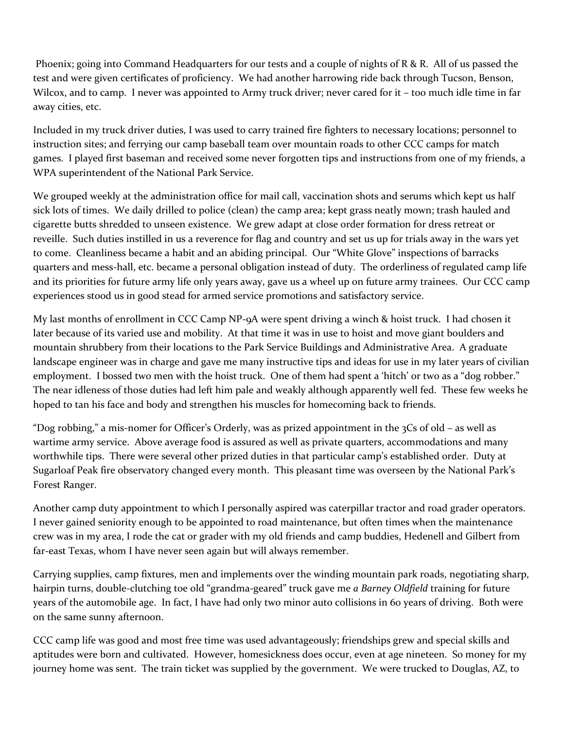Phoenix; going into Command Headquarters for our tests and a couple of nights of R & R. All of us passed the test and were given certificates of proficiency. We had another harrowing ride back through Tucson, Benson, Wilcox, and to camp. I never was appointed to Army truck driver; never cared for it - too much idle time in far away cities, etc.

Included in my truck driver duties, I was used to carry trained fire fighters to necessary locations; personnel to instruction sites; and ferrying our camp baseball team over mountain roads to other CCC camps for match games. I played first baseman and received some never forgotten tips and instructions from one of my friends, a WPA superintendent of the National Park Service.

We grouped weekly at the administration office for mail call, vaccination shots and serums which kept us half sick lots of times. We daily drilled to police (clean) the camp area; kept grass neatly mown; trash hauled and cigarette butts shredded to unseen existence. We grew adapt at close order formation for dress retreat or reveille. Such duties instilled in us a reverence for flag and country and set us up for trials away in the wars yet to come. Cleanliness became a habit and an abiding principal. Our "White Glove" inspections of barracks quarters and mess-hall, etc. became a personal obligation instead of duty. The orderliness of regulated camp life and its priorities for future army life only years away, gave us a wheel up on future army trainees. Our CCC camp experiences stood us in good stead for armed service promotions and satisfactory service.

My last months of enrollment in CCC Camp NP-9A were spent driving a winch & hoist truck. I had chosen it later because of its varied use and mobility. At that time it was in use to hoist and move giant boulders and mountain shrubbery from their locations to the Park Service Buildings and Administrative Area. A graduate landscape engineer was in charge and gave me many instructive tips and ideas for use in my later years of civilian employment. I bossed two men with the hoist truck. One of them had spent a 'hitch' or two as a "dog robber." The near idleness of those duties had left him pale and weakly although apparently well fed. These few weeks he hoped to tan his face and body and strengthen his muscles for homecoming back to friends.

"Dog robbing," a mis-nomer for Officer's Orderly, was as prized appointment in the  $3Cs$  of old – as well as wartime army service. Above average food is assured as well as private quarters, accommodations and many worthwhile tips. There were several other prized duties in that particular camp's established order. Duty at Sugarloaf Peak fire observatory changed every month. This pleasant time was overseen by the National Park's Forest Ranger.

Another camp duty appointment to which I personally aspired was caterpillar tractor and road grader operators. I never gained seniority enough to be appointed to road maintenance, but often times when the maintenance crew was in my area, I rode the cat or grader with my old friends and camp buddies, Hedenell and Gilbert from far-east Texas, whom I have never seen again but will always remember.

Carrying supplies, camp fixtures, men and implements over the winding mountain park roads, negotiating sharp, hairpin turns, double-clutching toe old "grandma-geared" truck gave me *a Barney Oldfield* training for future years of the automobile age. In fact, I have had only two minor auto collisions in 60 years of driving. Both were on the same sunny afternoon.

CCC camp life was good and most free time was used advantageously; friendships grew and special skills and aptitudes were born and cultivated. However, homesickness does occur, even at age nineteen. So money for my journey home was sent. The train ticket was supplied by the government. We were trucked to Douglas, AZ, to